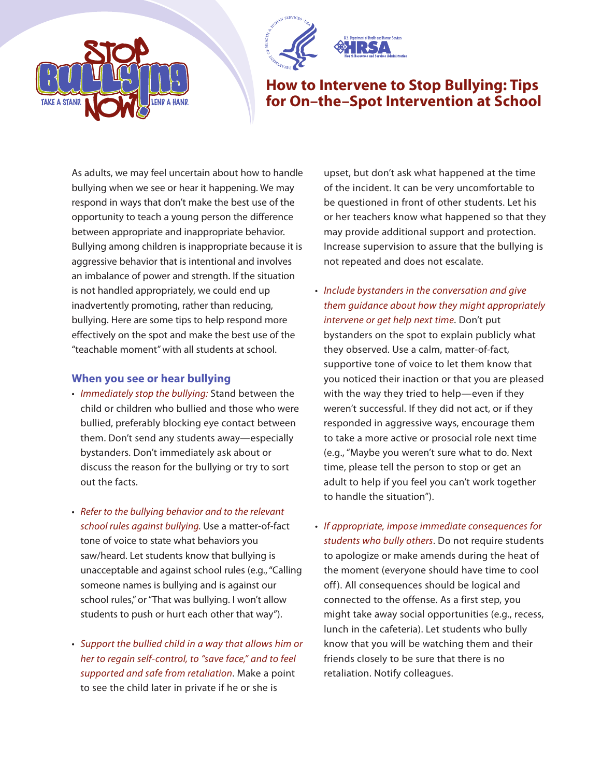



## **How to Intervene to Stop Bullying: Tips for On–the–Spot Intervention at School**

As adults, we may feel uncertain about how to handle bullying when we see or hear it happening. We may respond in ways that don't make the best use of the opportunity to teach a young person the difference between appropriate and inappropriate behavior. Bullying among children is inappropriate because it is aggressive behavior that is intentional and involves an imbalance of power and strength. If the situation is not handled appropriately, we could end up inadvertently promoting, rather than reducing, bullying. Here are some tips to help respond more effectively on the spot and make the best use of the "teachable moment" with all students at school.

## **When you see or hear bullying**

- Immediately stop the bullying: Stand between the child or children who bullied and those who were bullied, preferably blocking eye contact between them. Don't send any students away—especially bystanders. Don't immediately ask about or discuss the reason for the bullying or try to sort out the facts.
- Refer to the bullying behavior and to the relevant school rules against bullying. Use a matter-of-fact tone of voice to state what behaviors you saw/heard. Let students know that bullying is unacceptable and against school rules (e.g., "Calling someone names is bullying and is against our school rules," or "That was bullying. I won't allow students to push or hurt each other that way").
- Support the bullied child in a way that allows him or her to regain self-control, to "save face," and to feel supported and safe from retaliation. Make a point to see the child later in private if he or she is

upset, but don't ask what happened at the time of the incident. It can be very uncomfortable to be questioned in front of other students. Let his or her teachers know what happened so that they may provide additional support and protection. Increase supervision to assure that the bullying is not repeated and does not escalate.

- Include bystanders in the conversation and give them guidance about how they might appropriately intervene or get help next time. Don't put bystanders on the spot to explain publicly what they observed. Use a calm, matter-of-fact, supportive tone of voice to let them know that you noticed their inaction or that you are pleased with the way they tried to help—even if they weren't successful. If they did not act, or if they responded in aggressive ways, encourage them to take a more active or prosocial role next time (e.g., "Maybe you weren't sure what to do. Next time, please tell the person to stop or get an adult to help if you feel you can't work together to handle the situation").
- If appropriate, impose immediate consequences for students who bully others. Do not require students to apologize or make amends during the heat of the moment (everyone should have time to cool off). All consequences should be logical and connected to the offense. As a first step, you might take away social opportunities (e.g., recess, lunch in the cafeteria). Let students who bully know that you will be watching them and their friends closely to be sure that there is no retaliation. Notify colleagues.